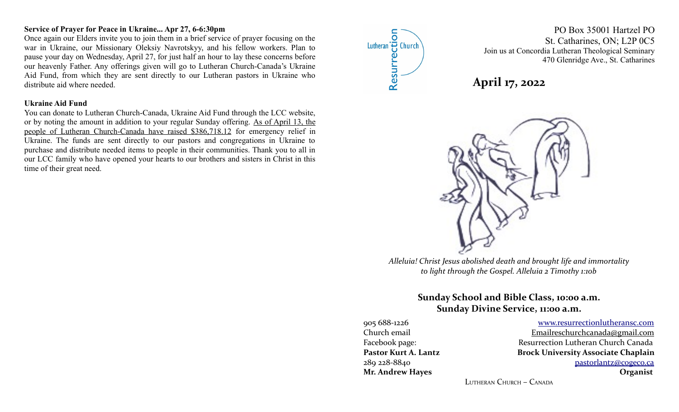# **Service of Prayer for Peace in Ukraine... Apr 27, 6-6:30pm**

Once again our Elders invite you to join them in a brief service of prayer focusing on the war in Ukraine, our Missionary Oleksiy Navrotskyy, and his fellow workers. Plan to pause your day on Wednesday, April 27, for just half an hour to lay these concerns before our heavenly Father. Any offerings given will go to Lutheran Church-Canada's Ukraine Aid Fund, from which they are sent directly to our Lutheran pastors in Ukraine who distribute aid where needed.

#### **Ukraine Aid Fund**

You can donate to Lutheran Church-Canada, Ukraine Aid Fund through the LCC website, or by noting the amount in addition to your regular Sunday offering. As of April 13, the people of Lutheran Church-Canada have raised \$386,718.12 for emergency relief in Ukraine. The funds are sent directly to our pastors and congregations in Ukraine to purchase and distribute needed items to people in their communities. Thank you to all in our LCC family who have opened your hearts to our brothers and sisters in Christ in this time of their great need.



PO Box 35001 Hartzel PO St. Catharines, ON; L2P 0C5 Join us at Concordia Lutheran Theological Seminary 470 Glenridge Ave., St. Catharines





*Alleluia! Christ Jesus abolished death and brought life and immortality to light through the Gospel. Alleluia 2 Timothy 1:10b*

# **Sunday School and Bible Class, 10:00 a.m. Sunday Divine Service, 11:00 a.m.**

**Mr. Andrew Hayes Organist**

905 688-1226 [www.resurrectionl utherans c.c om](http://www.resurrectionlc.ca/) Church email Emailreschur chcanada@gmail.com Facebook page: Resurrection Lutheran Church Canada Pastor Kurt A. Lantz **Brock University Associate Chaplain** 289 228-8840 [pastorlantz@cogeco.ca](mailto:pastorlantz@cogeco.ca)

LUTHERAN CHURCH – CANADA